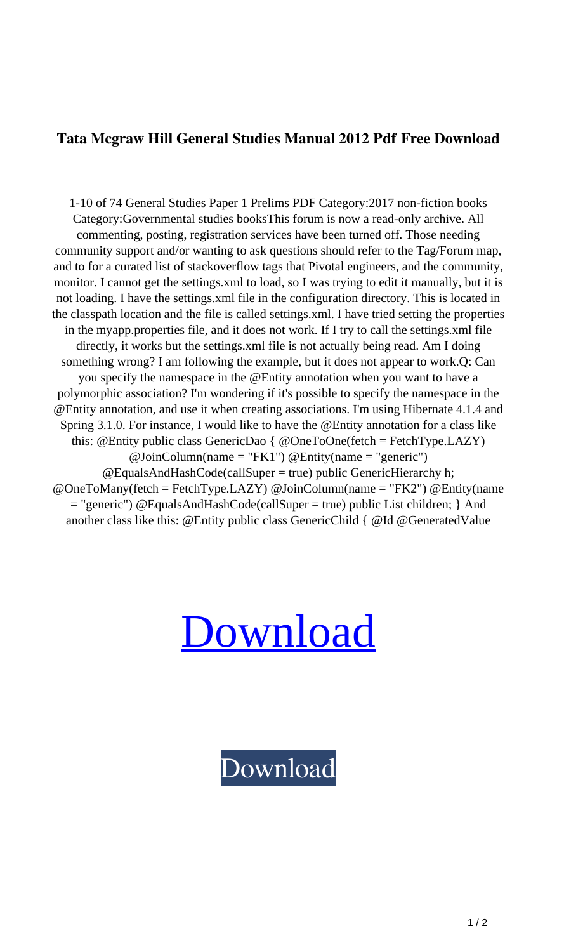## **Tata Mcgraw Hill General Studies Manual 2012 Pdf Free Download**

1-10 of 74 General Studies Paper 1 Prelims PDF Category:2017 non-fiction books Category:Governmental studies booksThis forum is now a read-only archive. All commenting, posting, registration services have been turned off. Those needing community support and/or wanting to ask questions should refer to the Tag/Forum map, and to for a curated list of stackoverflow tags that Pivotal engineers, and the community, monitor. I cannot get the settings.xml to load, so I was trying to edit it manually, but it is not loading. I have the settings.xml file in the configuration directory. This is located in the classpath location and the file is called settings.xml. I have tried setting the properties in the myapp.properties file, and it does not work. If I try to call the settings.xml file directly, it works but the settings.xml file is not actually being read. Am I doing something wrong? I am following the example, but it does not appear to work.Q: Can you specify the namespace in the @Entity annotation when you want to have a polymorphic association? I'm wondering if it's possible to specify the namespace in the @Entity annotation, and use it when creating associations. I'm using Hibernate 4.1.4 and Spring 3.1.0. For instance, I would like to have the @Entity annotation for a class like this: @Entity public class GenericDao { @OneToOne(fetch = FetchType.LAZY) @JoinColumn(name = "FK1") @Entity(name = "generic") @EqualsAndHashCode(callSuper = true) public GenericHierarchy h; @OneToMany(fetch = FetchType.LAZY) @JoinColumn(name = "FK2") @Entity(name = "generic") @EqualsAndHashCode(callSuper = true) public List children; } And another class like this: @Entity public class GenericChild { @Id @GeneratedValue



[Download](http://evacdir.com/dGF0YSBtY2dyYXcgaGlsbCBnZW5lcmFsIHN0dWRpZXMgbWFudWFsIDIwMTIgcGRmIGZyZWUgZG93bmxvYWQdGF/slinky.ZG93bmxvYWR8aFo1TWpsbmQzeDhNVFkxTWpjME1EZzJObng4TWpVM05IeDhLRTBwSUhKbFlXUXRZbXh2WnlCYlJtRnpkQ0JIUlU1ZA/checkups.count?gallet=eitan)